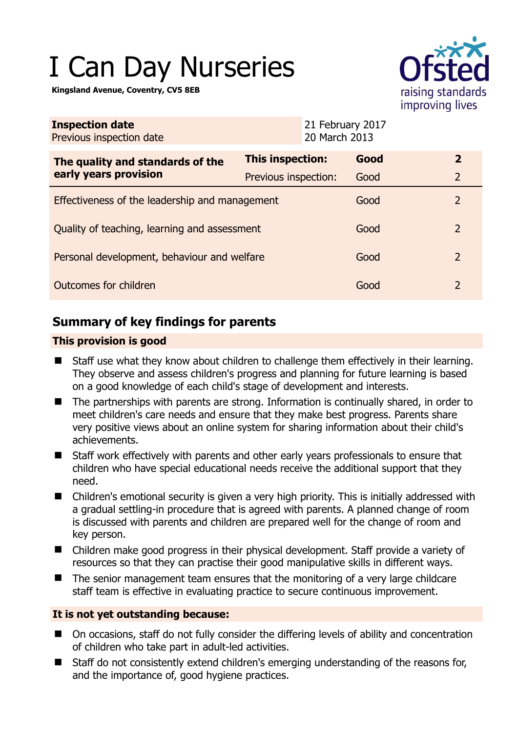# I Can Day Nurseries

**Kingsland Avenue, Coventry, CV5 8EB** 



| <b>Inspection date</b><br>Previous inspection date |                      | 21 February 2017<br>20 March 2013 |      |                |
|----------------------------------------------------|----------------------|-----------------------------------|------|----------------|
| The quality and standards of the                   | This inspection:     |                                   | Good | $\overline{2}$ |
| early years provision                              | Previous inspection: |                                   | Good | $\overline{2}$ |
| Effectiveness of the leadership and management     |                      |                                   | Good | 2              |
| Quality of teaching, learning and assessment       |                      |                                   | Good | 2              |
| Personal development, behaviour and welfare        |                      |                                   | Good | 2              |
| Outcomes for children                              |                      |                                   | Good | $\overline{2}$ |

# **Summary of key findings for parents**

## **This provision is good**

- Staff use what they know about children to challenge them effectively in their learning. They observe and assess children's progress and planning for future learning is based on a good knowledge of each child's stage of development and interests.
- The partnerships with parents are strong. Information is continually shared, in order to meet children's care needs and ensure that they make best progress. Parents share very positive views about an online system for sharing information about their child's achievements.
- Staff work effectively with parents and other early years professionals to ensure that children who have special educational needs receive the additional support that they need.
- Children's emotional security is given a very high priority. This is initially addressed with a gradual settling-in procedure that is agreed with parents. A planned change of room is discussed with parents and children are prepared well for the change of room and key person.
- Children make good progress in their physical development. Staff provide a variety of resources so that they can practise their good manipulative skills in different ways.
- The senior management team ensures that the monitoring of a very large childcare staff team is effective in evaluating practice to secure continuous improvement.

## **It is not yet outstanding because:**

- On occasions, staff do not fully consider the differing levels of ability and concentration of children who take part in adult-led activities.
- Staff do not consistently extend children's emerging understanding of the reasons for, and the importance of, good hygiene practices.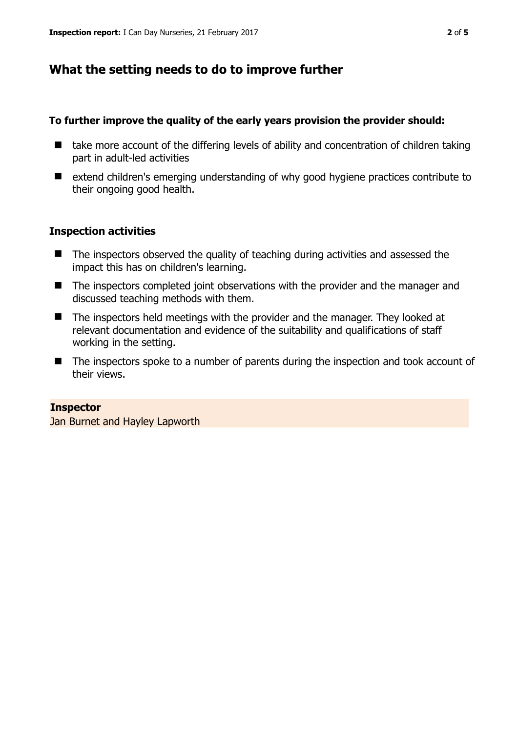## **What the setting needs to do to improve further**

#### **To further improve the quality of the early years provision the provider should:**

- $\blacksquare$  take more account of the differing levels of ability and concentration of children taking part in adult-led activities
- extend children's emerging understanding of why good hygiene practices contribute to their ongoing good health.

#### **Inspection activities**

- The inspectors observed the quality of teaching during activities and assessed the impact this has on children's learning.
- The inspectors completed joint observations with the provider and the manager and discussed teaching methods with them.
- The inspectors held meetings with the provider and the manager. They looked at relevant documentation and evidence of the suitability and qualifications of staff working in the setting.
- The inspectors spoke to a number of parents during the inspection and took account of their views.

#### **Inspector**

Jan Burnet and Hayley Lapworth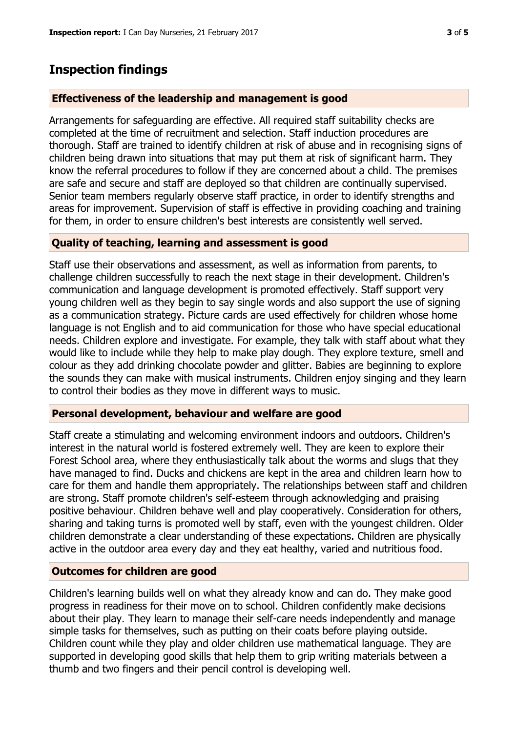## **Inspection findings**

#### **Effectiveness of the leadership and management is good**

Arrangements for safeguarding are effective. All required staff suitability checks are completed at the time of recruitment and selection. Staff induction procedures are thorough. Staff are trained to identify children at risk of abuse and in recognising signs of children being drawn into situations that may put them at risk of significant harm. They know the referral procedures to follow if they are concerned about a child. The premises are safe and secure and staff are deployed so that children are continually supervised. Senior team members regularly observe staff practice, in order to identify strengths and areas for improvement. Supervision of staff is effective in providing coaching and training for them, in order to ensure children's best interests are consistently well served.

#### **Quality of teaching, learning and assessment is good**

Staff use their observations and assessment, as well as information from parents, to challenge children successfully to reach the next stage in their development. Children's communication and language development is promoted effectively. Staff support very young children well as they begin to say single words and also support the use of signing as a communication strategy. Picture cards are used effectively for children whose home language is not English and to aid communication for those who have special educational needs. Children explore and investigate. For example, they talk with staff about what they would like to include while they help to make play dough. They explore texture, smell and colour as they add drinking chocolate powder and glitter. Babies are beginning to explore the sounds they can make with musical instruments. Children enjoy singing and they learn to control their bodies as they move in different ways to music.

#### **Personal development, behaviour and welfare are good**

Staff create a stimulating and welcoming environment indoors and outdoors. Children's interest in the natural world is fostered extremely well. They are keen to explore their Forest School area, where they enthusiastically talk about the worms and slugs that they have managed to find. Ducks and chickens are kept in the area and children learn how to care for them and handle them appropriately. The relationships between staff and children are strong. Staff promote children's self-esteem through acknowledging and praising positive behaviour. Children behave well and play cooperatively. Consideration for others, sharing and taking turns is promoted well by staff, even with the youngest children. Older children demonstrate a clear understanding of these expectations. Children are physically active in the outdoor area every day and they eat healthy, varied and nutritious food.

#### **Outcomes for children are good**

Children's learning builds well on what they already know and can do. They make good progress in readiness for their move on to school. Children confidently make decisions about their play. They learn to manage their self-care needs independently and manage simple tasks for themselves, such as putting on their coats before playing outside. Children count while they play and older children use mathematical language. They are supported in developing good skills that help them to grip writing materials between a thumb and two fingers and their pencil control is developing well.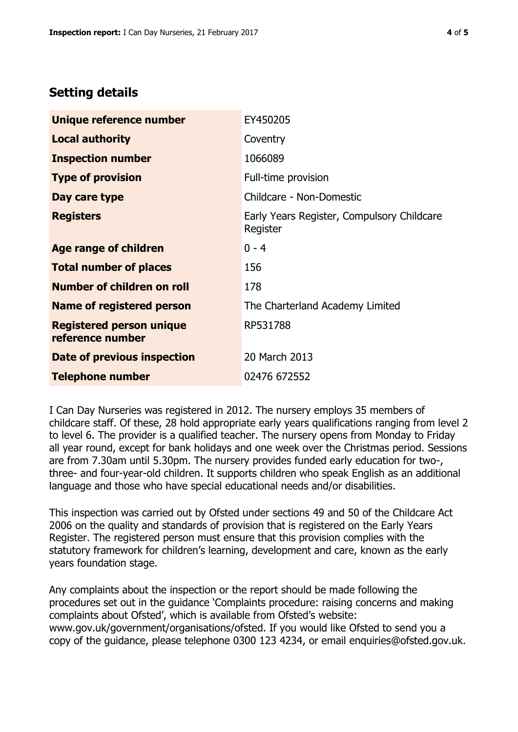# **Setting details**

| Unique reference number                             | EY450205                                               |  |
|-----------------------------------------------------|--------------------------------------------------------|--|
| <b>Local authority</b>                              | Coventry                                               |  |
| <b>Inspection number</b>                            | 1066089                                                |  |
| <b>Type of provision</b>                            | Full-time provision                                    |  |
| Day care type                                       | Childcare - Non-Domestic                               |  |
| <b>Registers</b>                                    | Early Years Register, Compulsory Childcare<br>Register |  |
| Age range of children                               | $0 - 4$                                                |  |
| <b>Total number of places</b>                       | 156                                                    |  |
| Number of children on roll                          | 178                                                    |  |
| Name of registered person                           | The Charterland Academy Limited                        |  |
| <b>Registered person unique</b><br>reference number | RP531788                                               |  |
| Date of previous inspection                         | 20 March 2013                                          |  |
| <b>Telephone number</b>                             | 02476 672552                                           |  |

I Can Day Nurseries was registered in 2012. The nursery employs 35 members of childcare staff. Of these, 28 hold appropriate early years qualifications ranging from level 2 to level 6. The provider is a qualified teacher. The nursery opens from Monday to Friday all year round, except for bank holidays and one week over the Christmas period. Sessions are from 7.30am until 5.30pm. The nursery provides funded early education for two-, three- and four-year-old children. It supports children who speak English as an additional language and those who have special educational needs and/or disabilities.

This inspection was carried out by Ofsted under sections 49 and 50 of the Childcare Act 2006 on the quality and standards of provision that is registered on the Early Years Register. The registered person must ensure that this provision complies with the statutory framework for children's learning, development and care, known as the early years foundation stage.

Any complaints about the inspection or the report should be made following the procedures set out in the guidance 'Complaints procedure: raising concerns and making complaints about Ofsted', which is available from Ofsted's website: www.gov.uk/government/organisations/ofsted. If you would like Ofsted to send you a copy of the guidance, please telephone 0300 123 4234, or email enquiries@ofsted.gov.uk.